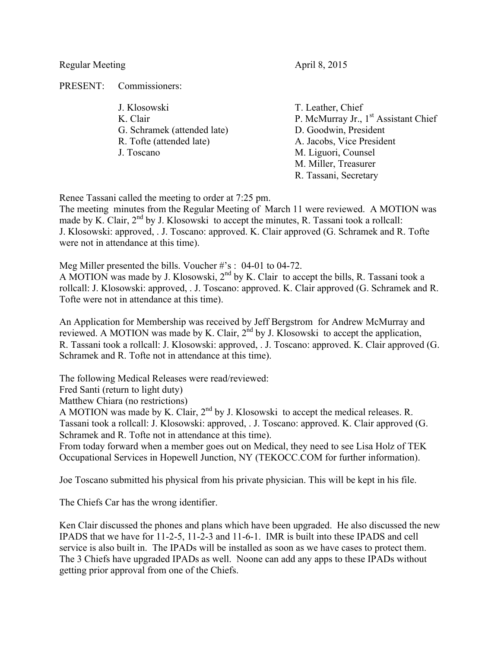Regular Meeting April 8, 2015

PRESENT: Commissioners:

- J. Klosowski T. Leather, Chief G. Schramek (attended late) D. Goodwin, President R. Tofte (attended late) A. Jacobs, Vice President J. Toscano M. Liguori, Counsel
- K. Clair P. McMurray Jr., 1<sup>st</sup> Assistant Chief M. Miller, Treasurer R. Tassani, Secretary

Renee Tassani called the meeting to order at 7:25 pm.

The meeting minutes from the Regular Meeting of March 11 were reviewed. A MOTION was made by K. Clair, 2<sup>nd</sup> by J. Klosowski to accept the minutes, R. Tassani took a rollcall: J. Klosowski: approved, . J. Toscano: approved. K. Clair approved (G. Schramek and R. Tofte were not in attendance at this time).

Meg Miller presented the bills. Voucher #'s: 04-01 to 04-72.

A MOTION was made by J. Klosowski,  $2^{nd}$  by K. Clair to accept the bills, R. Tassani took a rollcall: J. Klosowski: approved, . J. Toscano: approved. K. Clair approved (G. Schramek and R. Tofte were not in attendance at this time).

An Application for Membership was received by Jeff Bergstrom for Andrew McMurray and reviewed. A MOTION was made by K. Clair,  $2<sup>nd</sup>$  by J. Klosowski to accept the application, R. Tassani took a rollcall: J. Klosowski: approved, . J. Toscano: approved. K. Clair approved (G. Schramek and R. Tofte not in attendance at this time).

The following Medical Releases were read/reviewed:

Fred Santi (return to light duty)

Matthew Chiara (no restrictions)

A MOTION was made by K. Clair,  $2<sup>nd</sup>$  by J. Klosowski to accept the medical releases. R. Tassani took a rollcall: J. Klosowski: approved, . J. Toscano: approved. K. Clair approved (G. Schramek and R. Tofte not in attendance at this time).

From today forward when a member goes out on Medical, they need to see Lisa Holz of TEK Occupational Services in Hopewell Junction, NY (TEKOCC.COM for further information).

Joe Toscano submitted his physical from his private physician. This will be kept in his file.

The Chiefs Car has the wrong identifier.

Ken Clair discussed the phones and plans which have been upgraded. He also discussed the new IPADS that we have for 11-2-5, 11-2-3 and 11-6-1. IMR is built into these IPADS and cell service is also built in. The IPADs will be installed as soon as we have cases to protect them. The 3 Chiefs have upgraded IPADs as well. Noone can add any apps to these IPADs without getting prior approval from one of the Chiefs.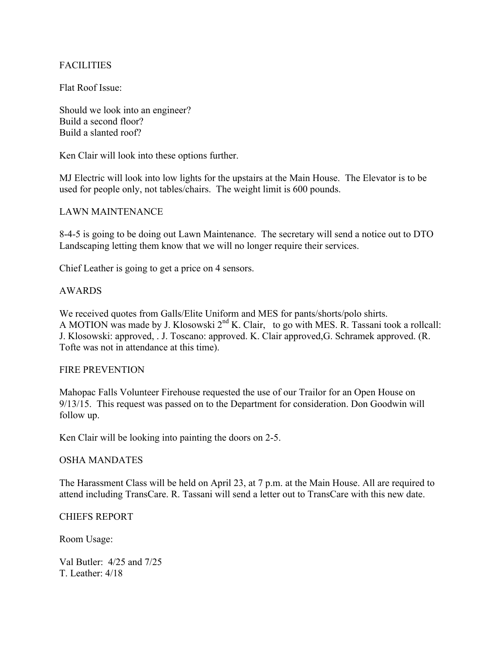# **FACILITIES**

Flat Roof Issue:

Should we look into an engineer? Build a second floor? Build a slanted roof?

Ken Clair will look into these options further.

MJ Electric will look into low lights for the upstairs at the Main House. The Elevator is to be used for people only, not tables/chairs. The weight limit is 600 pounds.

## LAWN MAINTENANCE

8-4-5 is going to be doing out Lawn Maintenance. The secretary will send a notice out to DTO Landscaping letting them know that we will no longer require their services.

Chief Leather is going to get a price on 4 sensors.

## AWARDS

We received quotes from Galls/Elite Uniform and MES for pants/shorts/polo shirts. A MOTION was made by J. Klosowski  $2^{nd}$  K. Clair, to go with MES. R. Tassani took a rollcall: J. Klosowski: approved, . J. Toscano: approved. K. Clair approved,G. Schramek approved. (R. Tofte was not in attendance at this time).

### FIRE PREVENTION

Mahopac Falls Volunteer Firehouse requested the use of our Trailor for an Open House on 9/13/15. This request was passed on to the Department for consideration. Don Goodwin will follow up.

Ken Clair will be looking into painting the doors on 2-5.

### OSHA MANDATES

The Harassment Class will be held on April 23, at 7 p.m. at the Main House. All are required to attend including TransCare. R. Tassani will send a letter out to TransCare with this new date.

### CHIEFS REPORT

Room Usage:

Val Butler: 4/25 and 7/25 T. Leather: 4/18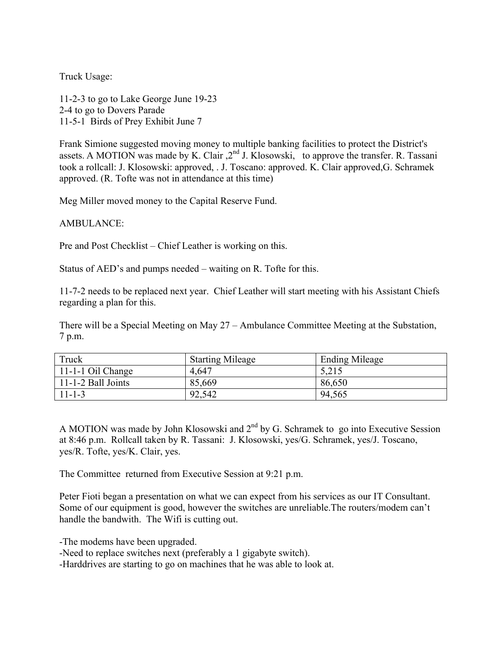Truck Usage:

11-2-3 to go to Lake George June 19-23 2-4 to go to Dovers Parade 11-5-1 Birds of Prey Exhibit June 7

Frank Simione suggested moving money to multiple banking facilities to protect the District's assets. A MOTION was made by K. Clair  $2<sup>nd</sup>$  J. Klosowski, to approve the transfer. R. Tassani took a rollcall: J. Klosowski: approved, . J. Toscano: approved. K. Clair approved,G. Schramek approved. (R. Tofte was not in attendance at this time)

Meg Miller moved money to the Capital Reserve Fund.

AMBULANCE:

Pre and Post Checklist – Chief Leather is working on this.

Status of AED's and pumps needed – waiting on R. Tofte for this.

11-7-2 needs to be replaced next year. Chief Leather will start meeting with his Assistant Chiefs regarding a plan for this.

There will be a Special Meeting on May 27 – Ambulance Committee Meeting at the Substation, 7 p.m.

| Truck                 | <b>Starting Mileage</b> | <b>Ending Mileage</b> |
|-----------------------|-------------------------|-----------------------|
| $11-1-1$ Oil Change   | 4,647                   | 5,215                 |
| $11$ -1-2 Ball Joints | 85,669                  | 86,650                |
| $11 - 1 - 3$          | 92,542                  | 94,565                |

A MOTION was made by John Klosowski and 2<sup>nd</sup> by G. Schramek to go into Executive Session at 8:46 p.m. Rollcall taken by R. Tassani: J. Klosowski, yes/G. Schramek, yes/J. Toscano, yes/R. Tofte, yes/K. Clair, yes.

The Committee returned from Executive Session at 9:21 p.m.

Peter Fioti began a presentation on what we can expect from his services as our IT Consultant. Some of our equipment is good, however the switches are unreliable.The routers/modem can't handle the bandwith. The Wifi is cutting out.

-The modems have been upgraded.

-Need to replace switches next (preferably a 1 gigabyte switch).

-Harddrives are starting to go on machines that he was able to look at.